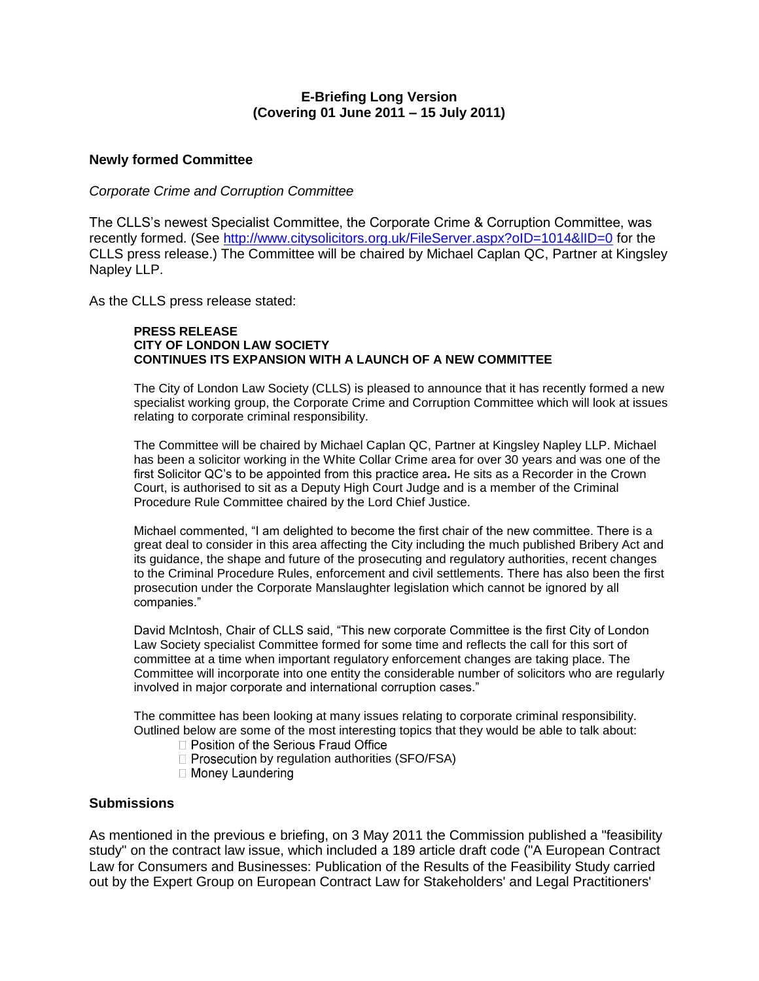# **E-Briefing Long Version (Covering 01 June 2011 – 15 July 2011)**

# **Newly formed Committee**

# *Corporate Crime and Corruption Committee*

The CLLS's newest Specialist Committee, the Corporate Crime & Corruption Committee, was recently formed. (See<http://www.citysolicitors.org.uk/FileServer.aspx?oID=1014&lID=0> for the CLLS press release.) The Committee will be chaired by Michael Caplan QC, Partner at Kingsley Napley LLP.

As the CLLS press release stated:

## **PRESS RELEASE CITY OF LONDON LAW SOCIETY CONTINUES ITS EXPANSION WITH A LAUNCH OF A NEW COMMITTEE**

The City of London Law Society (CLLS) is pleased to announce that it has recently formed a new specialist working group, the Corporate Crime and Corruption Committee which will look at issues relating to corporate criminal responsibility.

The Committee will be chaired by Michael Caplan QC, Partner at Kingsley Napley LLP. Michael has been a solicitor working in the White Collar Crime area for over 30 years and was one of the first Solicitor QC's to be appointed from this practice area*.* He sits as a Recorder in the Crown Court, is authorised to sit as a Deputy High Court Judge and is a member of the Criminal Procedure Rule Committee chaired by the Lord Chief Justice.

Michael commented, "I am delighted to become the first chair of the new committee. There is a great deal to consider in this area affecting the City including the much published Bribery Act and its guidance, the shape and future of the prosecuting and regulatory authorities, recent changes to the Criminal Procedure Rules, enforcement and civil settlements. There has also been the first prosecution under the Corporate Manslaughter legislation which cannot be ignored by all companies."

David McIntosh, Chair of CLLS said, "This new corporate Committee is the first City of London Law Society specialist Committee formed for some time and reflects the call for this sort of committee at a time when important regulatory enforcement changes are taking place. The Committee will incorporate into one entity the considerable number of solicitors who are regularly involved in major corporate and international corruption cases."

The committee has been looking at many issues relating to corporate criminal responsibility. Outlined below are some of the most interesting topics that they would be able to talk about:

- □ Position of the Serious Fraud Office
- $\Box$  Prosecution by regulation authorities (SFO/FSA)
- □ Money Laundering

# **Submissions**

As mentioned in the previous e briefing, on 3 May 2011 the Commission published a "feasibility study" on the contract law issue, which included a 189 article draft code ("A European Contract Law for Consumers and Businesses: Publication of the Results of the Feasibility Study carried out by the Expert Group on European Contract Law for Stakeholders' and Legal Practitioners'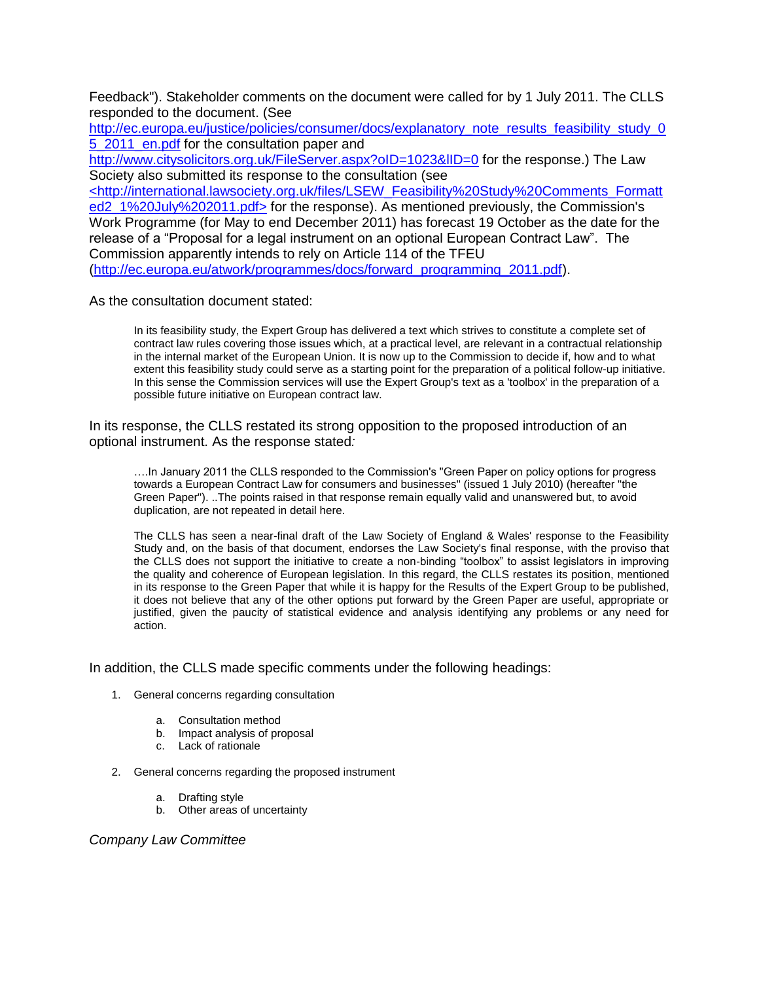Feedback"). Stakeholder comments on the document were called for by 1 July 2011. The CLLS responded to the document. (See

[http://ec.europa.eu/justice/policies/consumer/docs/explanatory\\_note\\_results\\_feasibility\\_study\\_0](http://ec.europa.eu/justice/policies/consumer/docs/explanatory_note_results_feasibility_study_05_2011_en.pdf) 5 2011 en.pdf for the consultation paper and http://www.citysolicitors.org.uk/FileServer.aspx?oID=1023&IID=0 for the response.) The Law Society also submitted its response to the consultation (see <http://international.lawsociety.org.uk/files/LSEW\_Feasibility%20Study%20Comments\_Formatt ed2\_1%20July%202011.pdf> for the response). As mentioned previously, the Commission's Work Programme (for May to end December 2011) has forecast 19 October as the date for the release of a "Proposal for a legal instrument on an optional European Contract Law". The Commission apparently intends to rely on Article 114 of the TFEU [\(http://ec.europa.eu/atwork/programmes/docs/forward\\_programming\\_2011.pdf\)](http://ec.europa.eu/atwork/programmes/docs/forward_programming_2011.pdf).

As the consultation document stated:

In its feasibility study, the Expert Group has delivered a text which strives to constitute a complete set of contract law rules covering those issues which, at a practical level, are relevant in a contractual relationship in the internal market of the European Union. It is now up to the Commission to decide if, how and to what extent this feasibility study could serve as a starting point for the preparation of a political follow-up initiative. In this sense the Commission services will use the Expert Group's text as a 'toolbox' in the preparation of a possible future initiative on European contract law.

In its response, the CLLS restated its strong opposition to the proposed introduction of an optional instrument. As the response stated*:*

….In January 2011 the CLLS responded to the Commission's "Green Paper on policy options for progress towards a European Contract Law for consumers and businesses" (issued 1 July 2010) (hereafter "the Green Paper"). ..The points raised in that response remain equally valid and unanswered but, to avoid duplication, are not repeated in detail here.

The CLLS has seen a near-final draft of the Law Society of England & Wales' response to the Feasibility Study and, on the basis of that document, endorses the Law Society's final response, with the proviso that the CLLS does not support the initiative to create a non-binding "toolbox" to assist legislators in improving the quality and coherence of European legislation. In this regard, the CLLS restates its position, mentioned in its response to the Green Paper that while it is happy for the Results of the Expert Group to be published, it does not believe that any of the other options put forward by the Green Paper are useful, appropriate or justified, given the paucity of statistical evidence and analysis identifying any problems or any need for action.

In addition, the CLLS made specific comments under the following headings:

- 1. General concerns regarding consultation
	- a. Consultation method
	- b. Impact analysis of proposal
	- c. Lack of rationale
- 2. General concerns regarding the proposed instrument
	- a. Drafting style
	- b. Other areas of uncertainty

*Company Law Committee*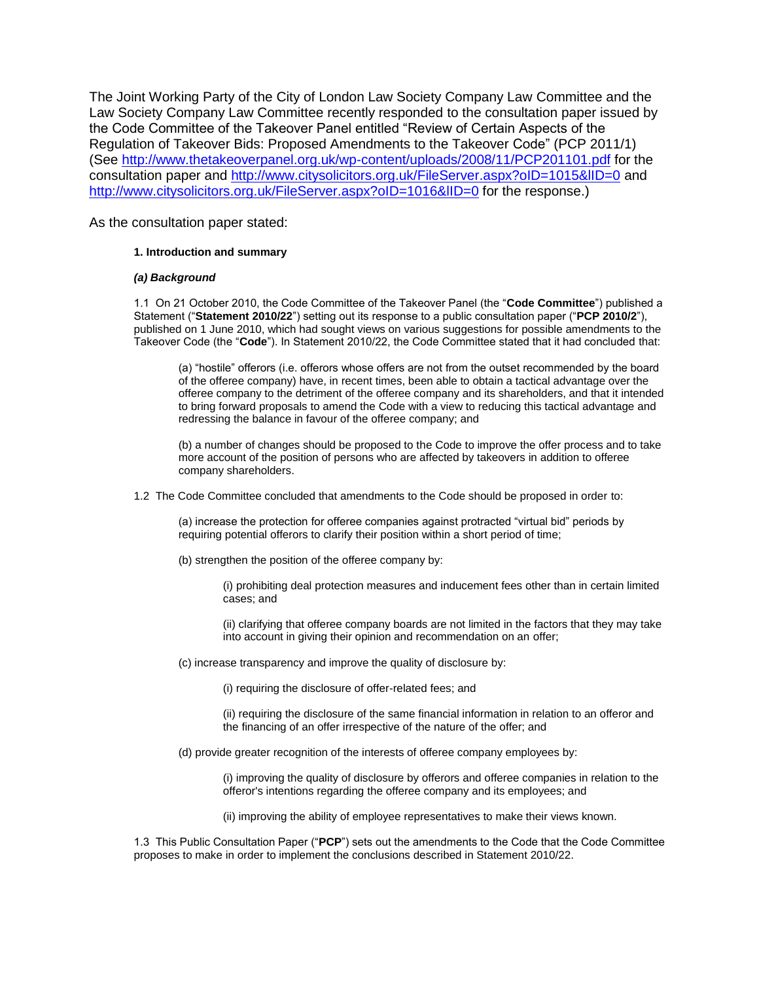The Joint Working Party of the City of London Law Society Company Law Committee and the Law Society Company Law Committee recently responded to the consultation paper issued by the Code Committee of the Takeover Panel entitled "Review of Certain Aspects of the Regulation of Takeover Bids: Proposed Amendments to the Takeover Code" (PCP 2011/1) (See<http://www.thetakeoverpanel.org.uk/wp-content/uploads/2008/11/PCP201101.pdf> for the consultation paper and<http://www.citysolicitors.org.uk/FileServer.aspx?oID=1015&lID=0> and http://www.citysolicitors.org.uk/FileServer.aspx?oID=1016&IID=0 for the response.)

As the consultation paper stated:

### **1. Introduction and summary**

### *(a) Background*

1.1 On 21 October 2010, the Code Committee of the Takeover Panel (the "**Code Committee**") published a Statement ("**Statement 2010/22**") setting out its response to a public consultation paper ("**PCP 2010/2**"), published on 1 June 2010, which had sought views on various suggestions for possible amendments to the Takeover Code (the "**Code**"). In Statement 2010/22, the Code Committee stated that it had concluded that:

(a) "hostile" offerors (i.e. offerors whose offers are not from the outset recommended by the board of the offeree company) have, in recent times, been able to obtain a tactical advantage over the offeree company to the detriment of the offeree company and its shareholders, and that it intended to bring forward proposals to amend the Code with a view to reducing this tactical advantage and redressing the balance in favour of the offeree company; and

(b) a number of changes should be proposed to the Code to improve the offer process and to take more account of the position of persons who are affected by takeovers in addition to offeree company shareholders.

1.2 The Code Committee concluded that amendments to the Code should be proposed in order to:

(a) increase the protection for offeree companies against protracted "virtual bid" periods by requiring potential offerors to clarify their position within a short period of time;

(b) strengthen the position of the offeree company by:

(i) prohibiting deal protection measures and inducement fees other than in certain limited cases; and

(ii) clarifying that offeree company boards are not limited in the factors that they may take into account in giving their opinion and recommendation on an offer;

(c) increase transparency and improve the quality of disclosure by:

(i) requiring the disclosure of offer-related fees; and

(ii) requiring the disclosure of the same financial information in relation to an offeror and the financing of an offer irrespective of the nature of the offer; and

(d) provide greater recognition of the interests of offeree company employees by:

(i) improving the quality of disclosure by offerors and offeree companies in relation to the offeror's intentions regarding the offeree company and its employees; and

(ii) improving the ability of employee representatives to make their views known.

1.3 This Public Consultation Paper ("**PCP**") sets out the amendments to the Code that the Code Committee proposes to make in order to implement the conclusions described in Statement 2010/22.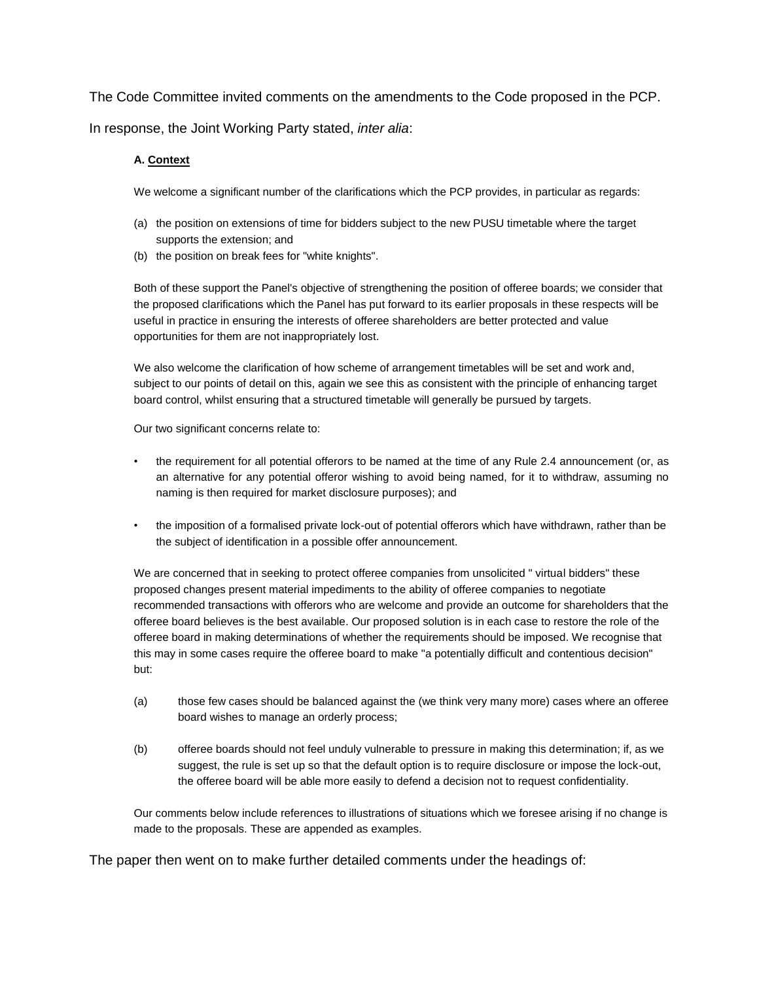The Code Committee invited comments on the amendments to the Code proposed in the PCP. In response, the Joint Working Party stated, *inter alia*:

# **A. Context**

We welcome a significant number of the clarifications which the PCP provides, in particular as regards:

- (a) the position on extensions of time for bidders subject to the new PUSU timetable where the target supports the extension; and
- (b) the position on break fees for "white knights".

Both of these support the Panel's objective of strengthening the position of offeree boards; we consider that the proposed clarifications which the Panel has put forward to its earlier proposals in these respects will be useful in practice in ensuring the interests of offeree shareholders are better protected and value opportunities for them are not inappropriately lost.

We also welcome the clarification of how scheme of arrangement timetables will be set and work and, subject to our points of detail on this, again we see this as consistent with the principle of enhancing target board control, whilst ensuring that a structured timetable will generally be pursued by targets.

Our two significant concerns relate to:

- the requirement for all potential offerors to be named at the time of any Rule 2.4 announcement (or, as an alternative for any potential offeror wishing to avoid being named, for it to withdraw, assuming no naming is then required for market disclosure purposes); and
- the imposition of a formalised private lock-out of potential offerors which have withdrawn, rather than be the subject of identification in a possible offer announcement.

We are concerned that in seeking to protect offeree companies from unsolicited " virtual bidders" these proposed changes present material impediments to the ability of offeree companies to negotiate recommended transactions with offerors who are welcome and provide an outcome for shareholders that the offeree board believes is the best available. Our proposed solution is in each case to restore the role of the offeree board in making determinations of whether the requirements should be imposed. We recognise that this may in some cases require the offeree board to make "a potentially difficult and contentious decision" but:

- (a) those few cases should be balanced against the (we think very many more) cases where an offeree board wishes to manage an orderly process;
- (b) offeree boards should not feel unduly vulnerable to pressure in making this determination; if, as we suggest, the rule is set up so that the default option is to require disclosure or impose the lock-out, the offeree board will be able more easily to defend a decision not to request confidentiality.

Our comments below include references to illustrations of situations which we foresee arising if no change is made to the proposals. These are appended as examples.

The paper then went on to make further detailed comments under the headings of: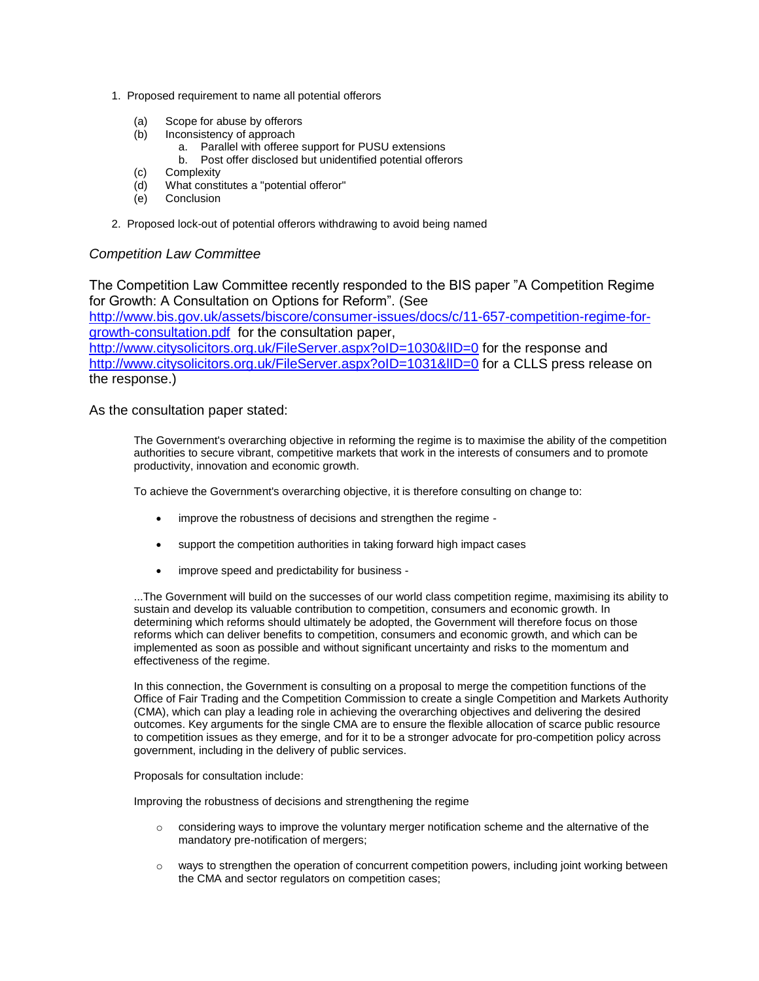- 1. Proposed requirement to name all potential offerors
	- (a) Scope for abuse by offerors
	- (b) Inconsistency of approach
		- a. Parallel with offeree support for PUSU extensions
		- b. Post offer disclosed but unidentified potential offerors
	- (c) Complexity
	- (d) What constitutes a "potential offeror"
	- (e) Conclusion
- 2. Proposed lock-out of potential offerors withdrawing to avoid being named

# *Competition Law Committee*

The Competition Law Committee recently responded to the BIS paper "A Competition Regime for Growth: A Consultation on Options for Reform". (See

[http://www.bis.gov.uk/assets/biscore/consumer-issues/docs/c/11-657-competition-regime-for](http://www.bis.gov.uk/assets/biscore/consumer-issues/docs/c/11-657-competition-regime-for-growth-consultation.pdf)[growth-consultation.pdf](http://www.bis.gov.uk/assets/biscore/consumer-issues/docs/c/11-657-competition-regime-for-growth-consultation.pdf) for the consultation paper,

http://www.citysolicitors.org.uk/FileServer.aspx?oID=1030&IID=0 for the response and http://www.citysolicitors.org.uk/FileServer.aspx?oID=1031&IID=0 for a CLLS press release on the response.)

As the consultation paper stated:

The Government's overarching objective in reforming the regime is to maximise the ability of the competition authorities to secure vibrant, competitive markets that work in the interests of consumers and to promote productivity, innovation and economic growth.

To achieve the Government's overarching objective, it is therefore consulting on change to:

- improve the robustness of decisions and strengthen the regime -
- support the competition authorities in taking forward high impact cases
- improve speed and predictability for business -

...The Government will build on the successes of our world class competition regime, maximising its ability to sustain and develop its valuable contribution to competition, consumers and economic growth. In determining which reforms should ultimately be adopted, the Government will therefore focus on those reforms which can deliver benefits to competition, consumers and economic growth, and which can be implemented as soon as possible and without significant uncertainty and risks to the momentum and effectiveness of the regime.

In this connection, the Government is consulting on a proposal to merge the competition functions of the Office of Fair Trading and the Competition Commission to create a single Competition and Markets Authority (CMA), which can play a leading role in achieving the overarching objectives and delivering the desired outcomes. Key arguments for the single CMA are to ensure the flexible allocation of scarce public resource to competition issues as they emerge, and for it to be a stronger advocate for pro-competition policy across government, including in the delivery of public services.

Proposals for consultation include:

Improving the robustness of decisions and strengthening the regime

- $\circ$  considering ways to improve the voluntary merger notification scheme and the alternative of the mandatory pre-notification of mergers;
- o ways to strengthen the operation of concurrent competition powers, including joint working between the CMA and sector regulators on competition cases;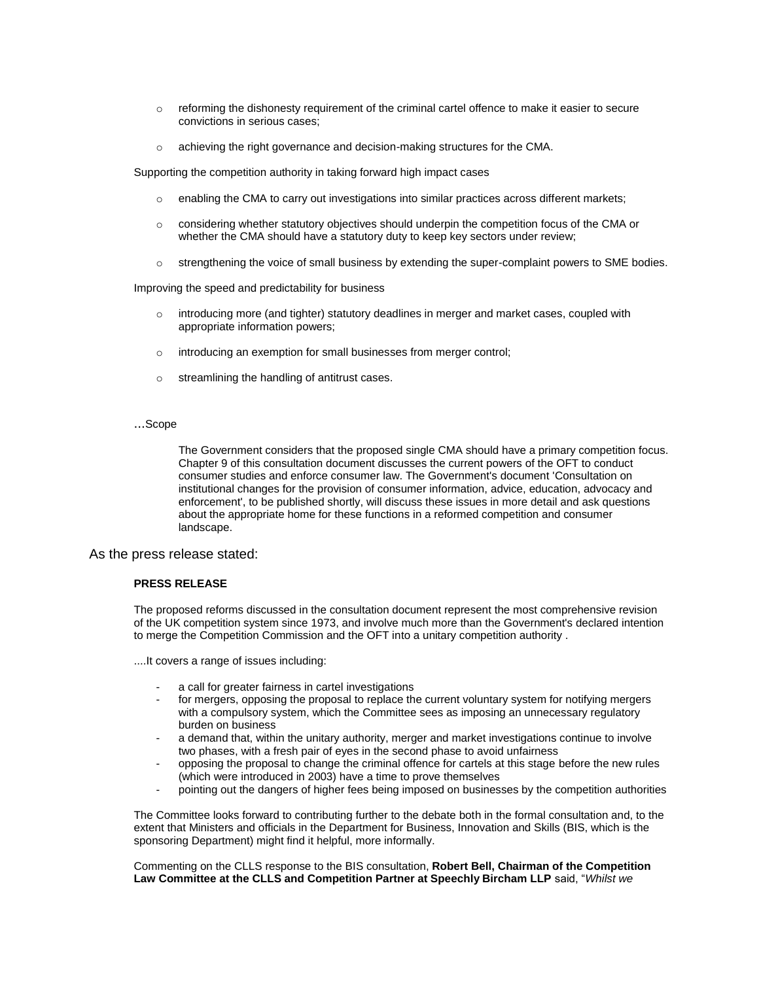- $\circ$  reforming the dishonesty requirement of the criminal cartel offence to make it easier to secure convictions in serious cases;
- $\circ$  achieving the right governance and decision-making structures for the CMA.

Supporting the competition authority in taking forward high impact cases

- o enabling the CMA to carry out investigations into similar practices across different markets;
- o considering whether statutory objectives should underpin the competition focus of the CMA or whether the CMA should have a statutory duty to keep key sectors under review;
- o strengthening the voice of small business by extending the super-complaint powers to SME bodies.

Improving the speed and predictability for business

- $\circ$  introducing more (and tighter) statutory deadlines in merger and market cases, coupled with appropriate information powers;
- o introducing an exemption for small businesses from merger control;
- o streamlining the handling of antitrust cases.
- ...Scope

The Government considers that the proposed single CMA should have a primary competition focus. Chapter 9 of this consultation document discusses the current powers of the OFT to conduct consumer studies and enforce consumer law. The Government's document 'Consultation on institutional changes for the provision of consumer information, advice, education, advocacy and enforcement', to be published shortly, will discuss these issues in more detail and ask questions about the appropriate home for these functions in a reformed competition and consumer landscape.

As the press release stated:

#### **PRESS RELEASE**

The proposed reforms discussed in the consultation document represent the most comprehensive revision of the UK competition system since 1973, and involve much more than the Government's declared intention to merge the Competition Commission and the OFT into a unitary competition authority .

....It covers a range of issues including:

- a call for greater fairness in cartel investigations
- for mergers, opposing the proposal to replace the current voluntary system for notifying mergers with a compulsory system, which the Committee sees as imposing an unnecessary regulatory burden on business
- a demand that, within the unitary authority, merger and market investigations continue to involve two phases, with a fresh pair of eyes in the second phase to avoid unfairness
- opposing the proposal to change the criminal offence for cartels at this stage before the new rules (which were introduced in 2003) have a time to prove themselves
- pointing out the dangers of higher fees being imposed on businesses by the competition authorities

The Committee looks forward to contributing further to the debate both in the formal consultation and, to the extent that Ministers and officials in the Department for Business, Innovation and Skills (BIS, which is the sponsoring Department) might find it helpful, more informally.

Commenting on the CLLS response to the BIS consultation, **Robert Bell, Chairman of the Competition Law Committee at the CLLS and Competition Partner at Speechly Bircham LLP** said, "*Whilst we*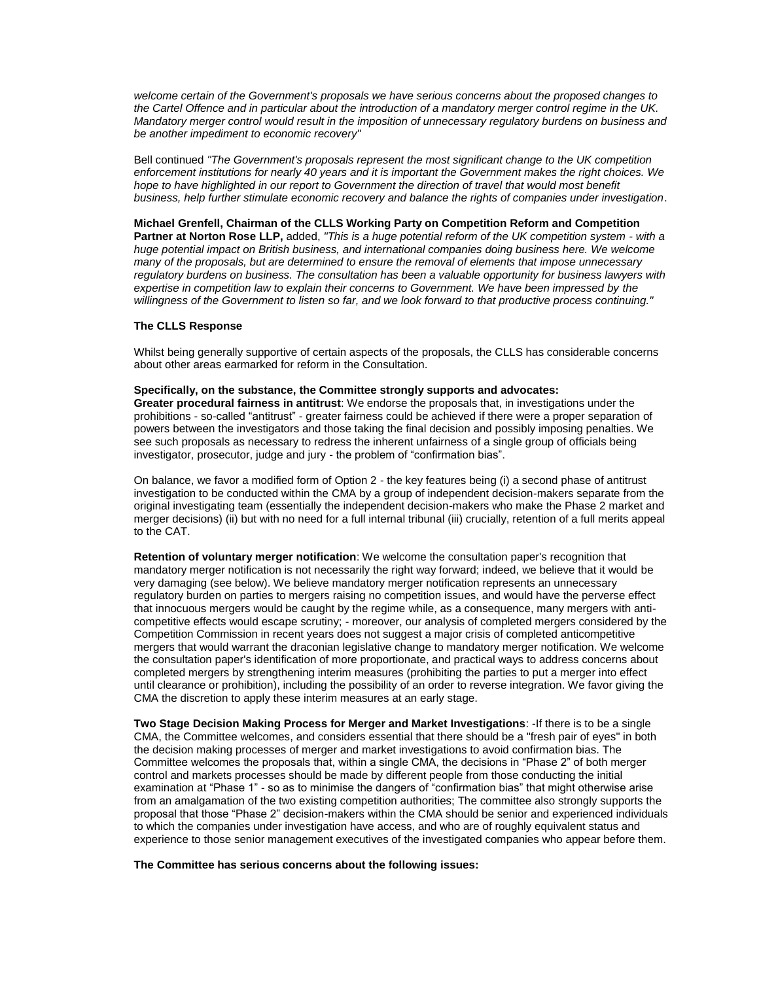*welcome certain of the Government's proposals we have serious concerns about the proposed changes to the Cartel Offence and in particular about the introduction of a mandatory merger control regime in the UK. Mandatory merger control would result in the imposition of unnecessary regulatory burdens on business and be another impediment to economic recovery"* 

Bell continued *"The Government's proposals represent the most significant change to the UK competition enforcement institutions for nearly 40 years and it is important the Government makes the right choices. We*  hope to have highlighted in our report to Government the direction of travel that would most benefit *business, help further stimulate economic recovery and balance the rights of companies under investigation*.

**Michael Grenfell, Chairman of the CLLS Working Party on Competition Reform and Competition Partner at Norton Rose LLP,** added, *"This is a huge potential reform of the UK competition system - with a huge potential impact on British business, and international companies doing business here. We welcome many of the proposals, but are determined to ensure the removal of elements that impose unnecessary regulatory burdens on business. The consultation has been a valuable opportunity for business lawyers with expertise in competition law to explain their concerns to Government. We have been impressed by the willingness of the Government to listen so far, and we look forward to that productive process continuing."* 

### **The CLLS Response**

Whilst being generally supportive of certain aspects of the proposals, the CLLS has considerable concerns about other areas earmarked for reform in the Consultation.

#### **Specifically, on the substance, the Committee strongly supports and advocates:**

**Greater procedural fairness in antitrust**: We endorse the proposals that, in investigations under the prohibitions - so-called "antitrust" - greater fairness could be achieved if there were a proper separation of powers between the investigators and those taking the final decision and possibly imposing penalties. We see such proposals as necessary to redress the inherent unfairness of a single group of officials being investigator, prosecutor, judge and jury - the problem of "confirmation bias".

On balance, we favor a modified form of Option 2 - the key features being (i) a second phase of antitrust investigation to be conducted within the CMA by a group of independent decision-makers separate from the original investigating team (essentially the independent decision-makers who make the Phase 2 market and merger decisions) (ii) but with no need for a full internal tribunal (iii) crucially, retention of a full merits appeal to the CAT.

**Retention of voluntary merger notification**: We welcome the consultation paper's recognition that mandatory merger notification is not necessarily the right way forward; indeed, we believe that it would be very damaging (see below). We believe mandatory merger notification represents an unnecessary regulatory burden on parties to mergers raising no competition issues, and would have the perverse effect that innocuous mergers would be caught by the regime while, as a consequence, many mergers with anticompetitive effects would escape scrutiny; - moreover, our analysis of completed mergers considered by the Competition Commission in recent years does not suggest a major crisis of completed anticompetitive mergers that would warrant the draconian legislative change to mandatory merger notification. We welcome the consultation paper's identification of more proportionate, and practical ways to address concerns about completed mergers by strengthening interim measures (prohibiting the parties to put a merger into effect until clearance or prohibition), including the possibility of an order to reverse integration. We favor giving the CMA the discretion to apply these interim measures at an early stage.

**Two Stage Decision Making Process for Merger and Market Investigations**: -If there is to be a single CMA, the Committee welcomes, and considers essential that there should be a "fresh pair of eyes" in both the decision making processes of merger and market investigations to avoid confirmation bias. The Committee welcomes the proposals that, within a single CMA, the decisions in "Phase 2" of both merger control and markets processes should be made by different people from those conducting the initial examination at "Phase 1" - so as to minimise the dangers of "confirmation bias" that might otherwise arise from an amalgamation of the two existing competition authorities; The committee also strongly supports the proposal that those "Phase 2" decision-makers within the CMA should be senior and experienced individuals to which the companies under investigation have access, and who are of roughly equivalent status and experience to those senior management executives of the investigated companies who appear before them.

**The Committee has serious concerns about the following issues:**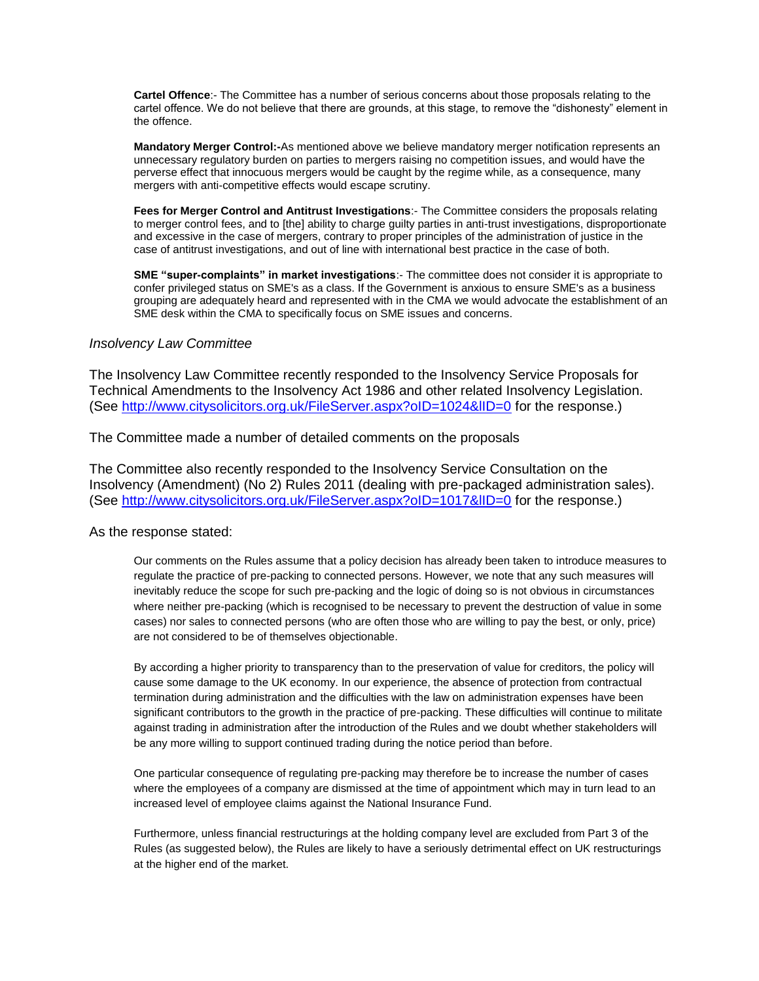**Cartel Offence**:- The Committee has a number of serious concerns about those proposals relating to the cartel offence. We do not believe that there are grounds, at this stage, to remove the "dishonesty" element in the offence.

**Mandatory Merger Control:-**As mentioned above we believe mandatory merger notification represents an unnecessary regulatory burden on parties to mergers raising no competition issues, and would have the perverse effect that innocuous mergers would be caught by the regime while, as a consequence, many mergers with anti-competitive effects would escape scrutiny.

**Fees for Merger Control and Antitrust Investigations**:- The Committee considers the proposals relating to merger control fees, and to [the] ability to charge guilty parties in anti-trust investigations, disproportionate and excessive in the case of mergers, contrary to proper principles of the administration of justice in the case of antitrust investigations, and out of line with international best practice in the case of both.

**SME "super-complaints" in market investigations**:- The committee does not consider it is appropriate to confer privileged status on SME's as a class. If the Government is anxious to ensure SME's as a business grouping are adequately heard and represented with in the CMA we would advocate the establishment of an SME desk within the CMA to specifically focus on SME issues and concerns.

# *Insolvency Law Committee*

The Insolvency Law Committee recently responded to the Insolvency Service Proposals for Technical Amendments to the Insolvency Act 1986 and other related Insolvency Legislation. (See<http://www.citysolicitors.org.uk/FileServer.aspx?oID=1024&lID=0> for the response.)

The Committee made a number of detailed comments on the proposals

The Committee also recently responded to the Insolvency Service Consultation on the Insolvency (Amendment) (No 2) Rules 2011 (dealing with pre-packaged administration sales). (See<http://www.citysolicitors.org.uk/FileServer.aspx?oID=1017&lID=0> for the response.)

As the response stated:

Our comments on the Rules assume that a policy decision has already been taken to introduce measures to regulate the practice of pre-packing to connected persons. However, we note that any such measures will inevitably reduce the scope for such pre-packing and the logic of doing so is not obvious in circumstances where neither pre-packing (which is recognised to be necessary to prevent the destruction of value in some cases) nor sales to connected persons (who are often those who are willing to pay the best, or only, price) are not considered to be of themselves objectionable.

By according a higher priority to transparency than to the preservation of value for creditors, the policy will cause some damage to the UK economy. In our experience, the absence of protection from contractual termination during administration and the difficulties with the law on administration expenses have been significant contributors to the growth in the practice of pre-packing. These difficulties will continue to militate against trading in administration after the introduction of the Rules and we doubt whether stakeholders will be any more willing to support continued trading during the notice period than before.

One particular consequence of regulating pre-packing may therefore be to increase the number of cases where the employees of a company are dismissed at the time of appointment which may in turn lead to an increased level of employee claims against the National Insurance Fund.

Furthermore, unless financial restructurings at the holding company level are excluded from Part 3 of the Rules (as suggested below), the Rules are likely to have a seriously detrimental effect on UK restructurings at the higher end of the market.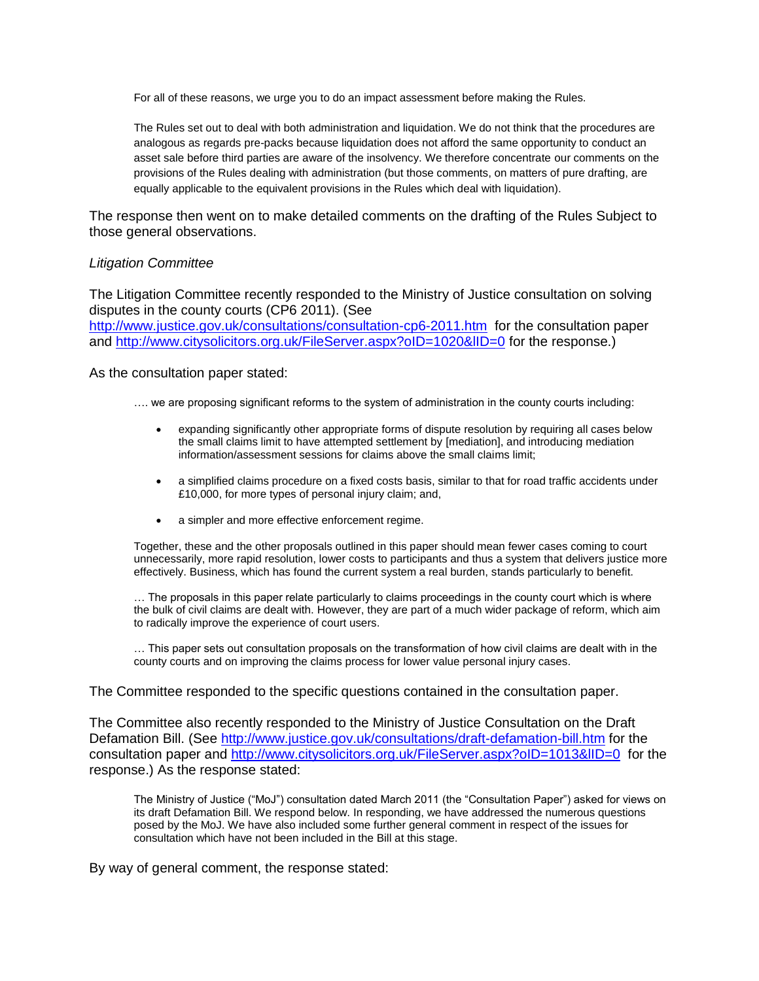For all of these reasons, we urge you to do an impact assessment before making the Rules.

The Rules set out to deal with both administration and liquidation. We do not think that the procedures are analogous as regards pre-packs because liquidation does not afford the same opportunity to conduct an asset sale before third parties are aware of the insolvency. We therefore concentrate our comments on the provisions of the Rules dealing with administration (but those comments, on matters of pure drafting, are equally applicable to the equivalent provisions in the Rules which deal with liquidation).

The response then went on to make detailed comments on the drafting of the Rules Subject to those general observations.

# *Litigation Committee*

The Litigation Committee recently responded to the Ministry of Justice consultation on solving disputes in the county courts (CP6 2011). (See <http://www.justice.gov.uk/consultations/consultation-cp6-2011.htm>for the consultation paper and http://www.citysolicitors.org.uk/FileServer.aspx?oID=1020&IID=0 for the response.)

As the consultation paper stated:

- …. we are proposing significant reforms to the system of administration in the county courts including:
	- expanding significantly other appropriate forms of dispute resolution by requiring all cases below the small claims limit to have attempted settlement by [mediation], and introducing mediation information/assessment sessions for claims above the small claims limit;
	- a simplified claims procedure on a fixed costs basis, similar to that for road traffic accidents under £10,000, for more types of personal injury claim; and,
	- a simpler and more effective enforcement regime.

Together, these and the other proposals outlined in this paper should mean fewer cases coming to court unnecessarily, more rapid resolution, lower costs to participants and thus a system that delivers justice more effectively. Business, which has found the current system a real burden, stands particularly to benefit.

… The proposals in this paper relate particularly to claims proceedings in the county court which is where the bulk of civil claims are dealt with. However, they are part of a much wider package of reform, which aim to radically improve the experience of court users.

… This paper sets out consultation proposals on the transformation of how civil claims are dealt with in the county courts and on improving the claims process for lower value personal injury cases.

## The Committee responded to the specific questions contained in the consultation paper.

The Committee also recently responded to the Ministry of Justice Consultation on the Draft Defamation Bill. (See<http://www.justice.gov.uk/consultations/draft-defamation-bill.htm> for the consultation paper and http://www.citysolicitors.org.uk/FileServer.aspx?oID=1013&IID=0 for the response.) As the response stated:

The Ministry of Justice ("MoJ") consultation dated March 2011 (the "Consultation Paper") asked for views on its draft Defamation Bill. We respond below. In responding, we have addressed the numerous questions posed by the MoJ. We have also included some further general comment in respect of the issues for consultation which have not been included in the Bill at this stage.

By way of general comment, the response stated: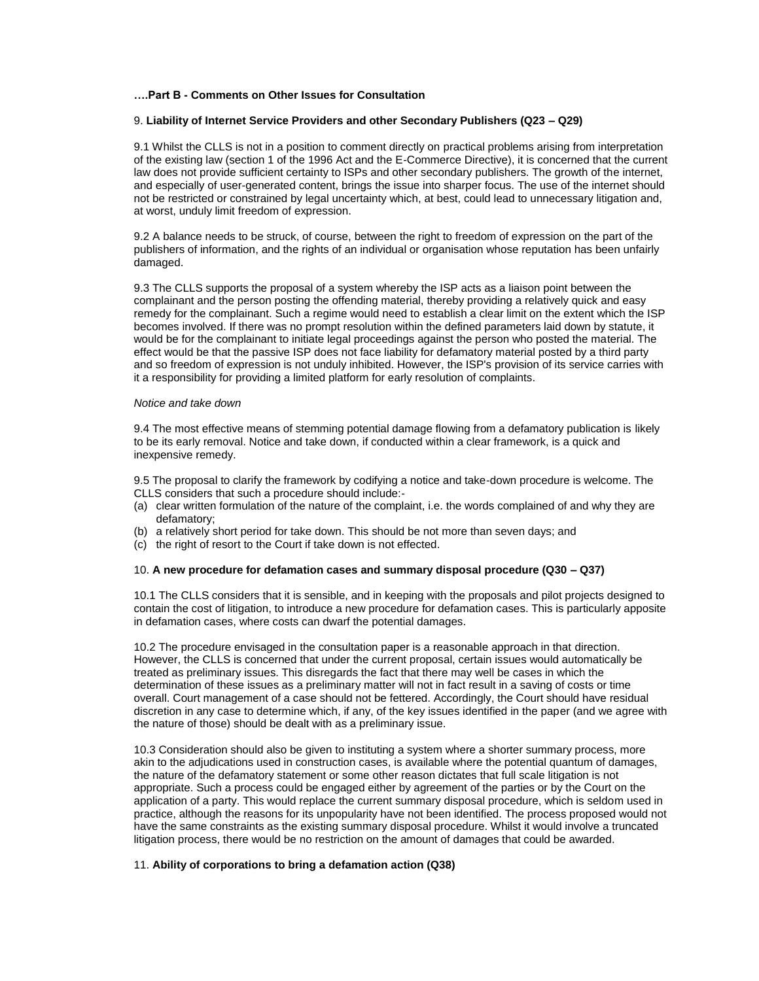### **….Part B - Comments on Other Issues for Consultation**

### 9. **Liability of Internet Service Providers and other Secondary Publishers (Q23 – Q29)**

9.1 Whilst the CLLS is not in a position to comment directly on practical problems arising from interpretation of the existing law (section 1 of the 1996 Act and the E-Commerce Directive), it is concerned that the current law does not provide sufficient certainty to ISPs and other secondary publishers. The growth of the internet, and especially of user-generated content, brings the issue into sharper focus. The use of the internet should not be restricted or constrained by legal uncertainty which, at best, could lead to unnecessary litigation and, at worst, unduly limit freedom of expression.

9.2 A balance needs to be struck, of course, between the right to freedom of expression on the part of the publishers of information, and the rights of an individual or organisation whose reputation has been unfairly damaged.

9.3 The CLLS supports the proposal of a system whereby the ISP acts as a liaison point between the complainant and the person posting the offending material, thereby providing a relatively quick and easy remedy for the complainant. Such a regime would need to establish a clear limit on the extent which the ISP becomes involved. If there was no prompt resolution within the defined parameters laid down by statute, it would be for the complainant to initiate legal proceedings against the person who posted the material. The effect would be that the passive ISP does not face liability for defamatory material posted by a third party and so freedom of expression is not unduly inhibited. However, the ISP's provision of its service carries with it a responsibility for providing a limited platform for early resolution of complaints.

### *Notice and take down*

9.4 The most effective means of stemming potential damage flowing from a defamatory publication is likely to be its early removal. Notice and take down, if conducted within a clear framework, is a quick and inexpensive remedy.

9.5 The proposal to clarify the framework by codifying a notice and take-down procedure is welcome. The CLLS considers that such a procedure should include:-

- (a) clear written formulation of the nature of the complaint, i.e. the words complained of and why they are defamatory;
- (b) a relatively short period for take down. This should be not more than seven days; and
- (c) the right of resort to the Court if take down is not effected.

#### 10. **A new procedure for defamation cases and summary disposal procedure (Q30 – Q37)**

10.1 The CLLS considers that it is sensible, and in keeping with the proposals and pilot projects designed to contain the cost of litigation, to introduce a new procedure for defamation cases. This is particularly apposite in defamation cases, where costs can dwarf the potential damages.

10.2 The procedure envisaged in the consultation paper is a reasonable approach in that direction. However, the CLLS is concerned that under the current proposal, certain issues would automatically be treated as preliminary issues. This disregards the fact that there may well be cases in which the determination of these issues as a preliminary matter will not in fact result in a saving of costs or time overall. Court management of a case should not be fettered. Accordingly, the Court should have residual discretion in any case to determine which, if any, of the key issues identified in the paper (and we agree with the nature of those) should be dealt with as a preliminary issue.

10.3 Consideration should also be given to instituting a system where a shorter summary process, more akin to the adjudications used in construction cases, is available where the potential quantum of damages, the nature of the defamatory statement or some other reason dictates that full scale litigation is not appropriate. Such a process could be engaged either by agreement of the parties or by the Court on the application of a party. This would replace the current summary disposal procedure, which is seldom used in practice, although the reasons for its unpopularity have not been identified. The process proposed would not have the same constraints as the existing summary disposal procedure. Whilst it would involve a truncated litigation process, there would be no restriction on the amount of damages that could be awarded.

### 11. **Ability of corporations to bring a defamation action (Q38)**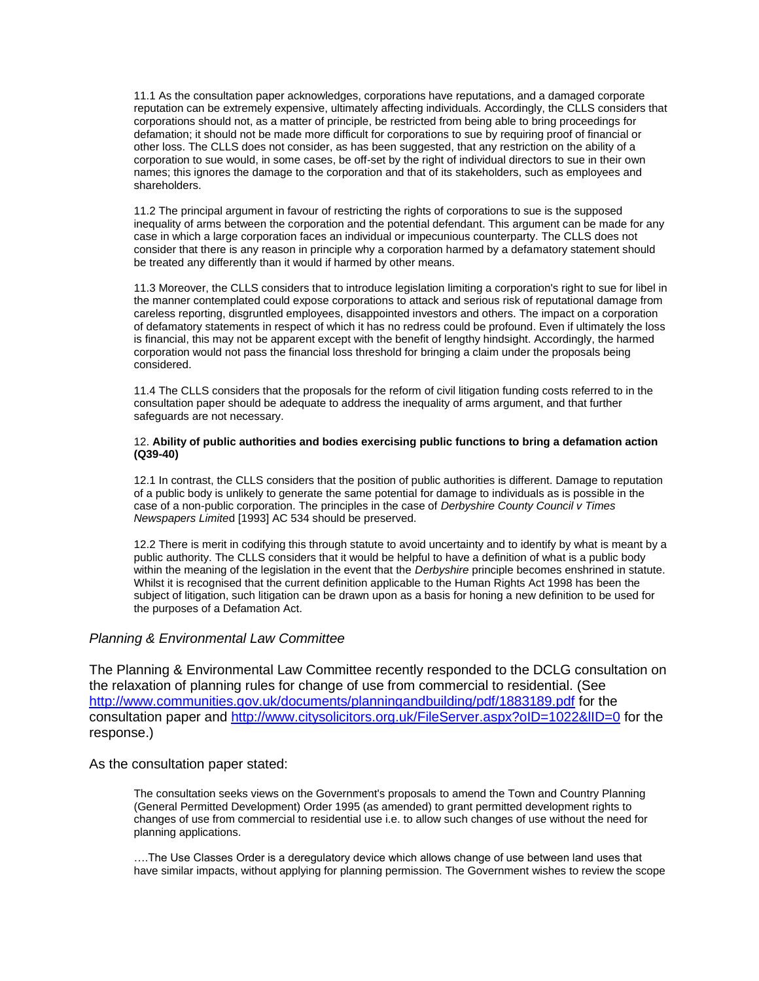11.1 As the consultation paper acknowledges, corporations have reputations, and a damaged corporate reputation can be extremely expensive, ultimately affecting individuals. Accordingly, the CLLS considers that corporations should not, as a matter of principle, be restricted from being able to bring proceedings for defamation; it should not be made more difficult for corporations to sue by requiring proof of financial or other loss. The CLLS does not consider, as has been suggested, that any restriction on the ability of a corporation to sue would, in some cases, be off-set by the right of individual directors to sue in their own names; this ignores the damage to the corporation and that of its stakeholders, such as employees and shareholders.

11.2 The principal argument in favour of restricting the rights of corporations to sue is the supposed inequality of arms between the corporation and the potential defendant. This argument can be made for any case in which a large corporation faces an individual or impecunious counterparty. The CLLS does not consider that there is any reason in principle why a corporation harmed by a defamatory statement should be treated any differently than it would if harmed by other means.

11.3 Moreover, the CLLS considers that to introduce legislation limiting a corporation's right to sue for libel in the manner contemplated could expose corporations to attack and serious risk of reputational damage from careless reporting, disgruntled employees, disappointed investors and others. The impact on a corporation of defamatory statements in respect of which it has no redress could be profound. Even if ultimately the loss is financial, this may not be apparent except with the benefit of lengthy hindsight. Accordingly, the harmed corporation would not pass the financial loss threshold for bringing a claim under the proposals being considered.

11.4 The CLLS considers that the proposals for the reform of civil litigation funding costs referred to in the consultation paper should be adequate to address the inequality of arms argument, and that further safeguards are not necessary.

### 12. **Ability of public authorities and bodies exercising public functions to bring a defamation action (Q39-40)**

12.1 In contrast, the CLLS considers that the position of public authorities is different. Damage to reputation of a public body is unlikely to generate the same potential for damage to individuals as is possible in the case of a non-public corporation. The principles in the case of *Derbyshire County Council v Times Newspapers Limite*d [1993] AC 534 should be preserved.

12.2 There is merit in codifying this through statute to avoid uncertainty and to identify by what is meant by a public authority. The CLLS considers that it would be helpful to have a definition of what is a public body within the meaning of the legislation in the event that the *Derbyshire* principle becomes enshrined in statute. Whilst it is recognised that the current definition applicable to the Human Rights Act 1998 has been the subject of litigation, such litigation can be drawn upon as a basis for honing a new definition to be used for the purposes of a Defamation Act.

## *Planning & Environmental Law Committee*

The Planning & Environmental Law Committee recently responded to the DCLG consultation on the relaxation of planning rules for change of use from commercial to residential. (See <http://www.communities.gov.uk/documents/planningandbuilding/pdf/1883189.pdf> for the consultation paper and<http://www.citysolicitors.org.uk/FileServer.aspx?oID=1022&lID=0> for the response.)

## As the consultation paper stated:

The consultation seeks views on the Government's proposals to amend the Town and Country Planning (General Permitted Development) Order 1995 (as amended) to grant permitted development rights to changes of use from commercial to residential use i.e. to allow such changes of use without the need for planning applications.

….The Use Classes Order is a deregulatory device which allows change of use between land uses that have similar impacts, without applying for planning permission. The Government wishes to review the scope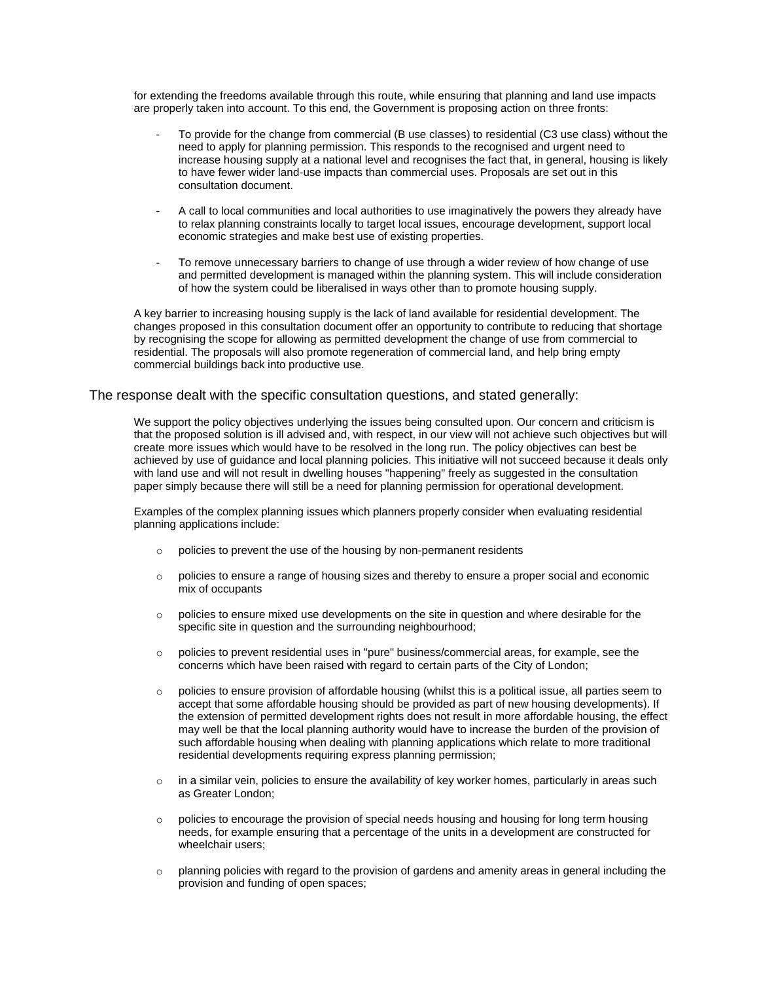for extending the freedoms available through this route, while ensuring that planning and land use impacts are properly taken into account. To this end, the Government is proposing action on three fronts:

- To provide for the change from commercial (B use classes) to residential (C3 use class) without the need to apply for planning permission. This responds to the recognised and urgent need to increase housing supply at a national level and recognises the fact that, in general, housing is likely to have fewer wider land-use impacts than commercial uses. Proposals are set out in this consultation document.
- A call to local communities and local authorities to use imaginatively the powers they already have to relax planning constraints locally to target local issues, encourage development, support local economic strategies and make best use of existing properties.
- To remove unnecessary barriers to change of use through a wider review of how change of use and permitted development is managed within the planning system. This will include consideration of how the system could be liberalised in ways other than to promote housing supply.

A key barrier to increasing housing supply is the lack of land available for residential development. The changes proposed in this consultation document offer an opportunity to contribute to reducing that shortage by recognising the scope for allowing as permitted development the change of use from commercial to residential. The proposals will also promote regeneration of commercial land, and help bring empty commercial buildings back into productive use.

## The response dealt with the specific consultation questions, and stated generally:

We support the policy objectives underlying the issues being consulted upon. Our concern and criticism is that the proposed solution is ill advised and, with respect, in our view will not achieve such objectives but will create more issues which would have to be resolved in the long run. The policy objectives can best be achieved by use of guidance and local planning policies. This initiative will not succeed because it deals only with land use and will not result in dwelling houses "happening" freely as suggested in the consultation paper simply because there will still be a need for planning permission for operational development.

Examples of the complex planning issues which planners properly consider when evaluating residential planning applications include:

- o policies to prevent the use of the housing by non-permanent residents
- $\circ$  policies to ensure a range of housing sizes and thereby to ensure a proper social and economic mix of occupants
- $\circ$  policies to ensure mixed use developments on the site in question and where desirable for the specific site in question and the surrounding neighbourhood;
- $\circ$  policies to prevent residential uses in "pure" business/commercial areas, for example, see the concerns which have been raised with regard to certain parts of the City of London;
- $\circ$  policies to ensure provision of affordable housing (whilst this is a political issue, all parties seem to accept that some affordable housing should be provided as part of new housing developments). If the extension of permitted development rights does not result in more affordable housing, the effect may well be that the local planning authority would have to increase the burden of the provision of such affordable housing when dealing with planning applications which relate to more traditional residential developments requiring express planning permission;
- $\circ$  in a similar vein, policies to ensure the availability of key worker homes, particularly in areas such as Greater London;
- $\circ$  policies to encourage the provision of special needs housing and housing for long term housing needs, for example ensuring that a percentage of the units in a development are constructed for wheelchair users;
- $\circ$  planning policies with regard to the provision of gardens and amenity areas in general including the provision and funding of open spaces;